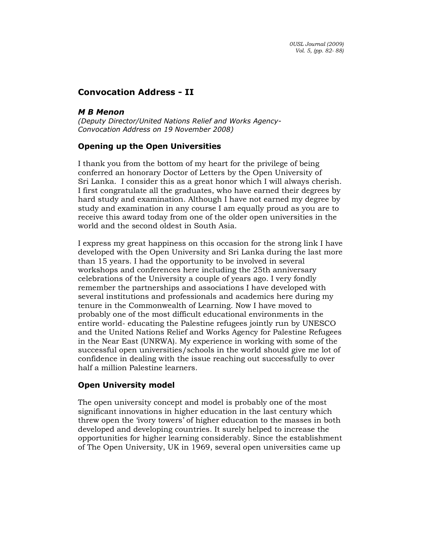# Convocation Address - II

## M B Menon

(Deputy Director/United Nations Relief and Works Agency-Convocation Address on 19 November 2008)

## Opening up the Open Universities

I thank you from the bottom of my heart for the privilege of being conferred an honorary Doctor of Letters by the Open University of Sri Lanka. I consider this as a great honor which I will always cherish. I first congratulate all the graduates, who have earned their degrees by hard study and examination. Although I have not earned my degree by study and examination in any course I am equally proud as you are to receive this award today from one of the older open universities in the world and the second oldest in South Asia.

I express my great happiness on this occasion for the strong link I have developed with the Open University and Sri Lanka during the last more than 15 years. I had the opportunity to be involved in several workshops and conferences here including the 25th anniversary celebrations of the University a couple of years ago. I very fondly remember the partnerships and associations I have developed with several institutions and professionals and academics here during my tenure in the Commonwealth of Learning. Now I have moved to probably one of the most difficult educational environments in the entire world- educating the Palestine refugees jointly run by UNESCO and the United Nations Relief and Works Agency for Palestine Refugees in the Near East (UNRWA). My experience in working with some of the successful open universities/schools in the world should give me lot of confidence in dealing with the issue reaching out successfully to over half a million Palestine learners.

## Open University model

The open university concept and model is probably one of the most significant innovations in higher education in the last century which threw open the 'ivory towers' of higher education to the masses in both developed and developing countries. It surely helped to increase the opportunities for higher learning considerably. Since the establishment of The Open University, UK in 1969, several open universities came up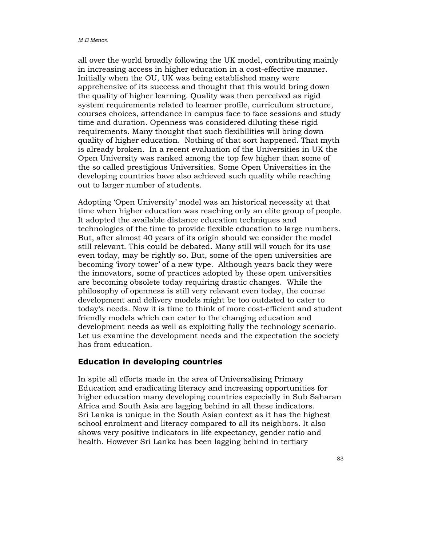all over the world broadly following the UK model, contributing mainly in increasing access in higher education in a cost-effective manner. Initially when the OU, UK was being established many were apprehensive of its success and thought that this would bring down the quality of higher learning. Quality was then perceived as rigid system requirements related to learner profile, curriculum structure, courses choices, attendance in campus face to face sessions and study time and duration. Openness was considered diluting these rigid requirements. Many thought that such flexibilities will bring down quality of higher education. Nothing of that sort happened. That myth is already broken. In a recent evaluation of the Universities in UK the Open University was ranked among the top few higher than some of the so called prestigious Universities. Some Open Universities in the developing countries have also achieved such quality while reaching out to larger number of students.

Adopting 'Open University' model was an historical necessity at that time when higher education was reaching only an elite group of people. It adopted the available distance education techniques and technologies of the time to provide flexible education to large numbers. But, after almost 40 years of its origin should we consider the model still relevant. This could be debated. Many still will vouch for its use even today, may be rightly so. But, some of the open universities are becoming 'ivory tower' of a new type. Although years back they were the innovators, some of practices adopted by these open universities are becoming obsolete today requiring drastic changes. While the philosophy of openness is still very relevant even today, the course development and delivery models might be too outdated to cater to today's needs. Now it is time to think of more cost-efficient and student friendly models which can cater to the changing education and development needs as well as exploiting fully the technology scenario. Let us examine the development needs and the expectation the society has from education.

#### Education in developing countries

In spite all efforts made in the area of Universalising Primary Education and eradicating literacy and increasing opportunities for higher education many developing countries especially in Sub Saharan Africa and South Asia are lagging behind in all these indicators. Sri Lanka is unique in the South Asian context as it has the highest school enrolment and literacy compared to all its neighbors. It also shows very positive indicators in life expectancy, gender ratio and health. However Sri Lanka has been lagging behind in tertiary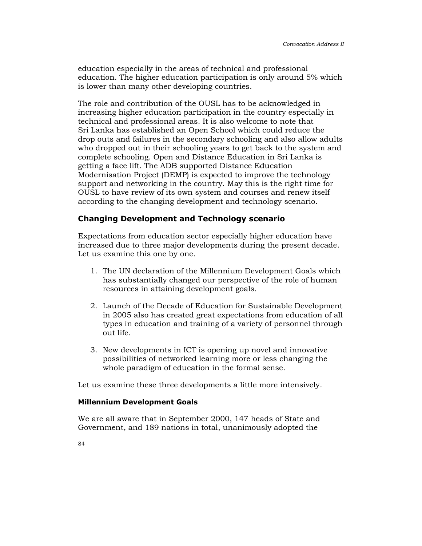education especially in the areas of technical and professional education. The higher education participation is only around 5% which is lower than many other developing countries.

The role and contribution of the OUSL has to be acknowledged in increasing higher education participation in the country especially in technical and professional areas. It is also welcome to note that Sri Lanka has established an Open School which could reduce the drop outs and failures in the secondary schooling and also allow adults who dropped out in their schooling years to get back to the system and complete schooling. Open and Distance Education in Sri Lanka is getting a face lift. The ADB supported Distance Education Modernisation Project (DEMP) is expected to improve the technology support and networking in the country. May this is the right time for OUSL to have review of its own system and courses and renew itself according to the changing development and technology scenario.

## Changing Development and Technology scenario

Expectations from education sector especially higher education have increased due to three major developments during the present decade. Let us examine this one by one.

- 1. The UN declaration of the Millennium Development Goals which has substantially changed our perspective of the role of human resources in attaining development goals.
- 2. Launch of the Decade of Education for Sustainable Development in 2005 also has created great expectations from education of all types in education and training of a variety of personnel through out life.
- 3. New developments in ICT is opening up novel and innovative possibilities of networked learning more or less changing the whole paradigm of education in the formal sense.

Let us examine these three developments a little more intensively.

#### Millennium Development Goals

We are all aware that in September 2000, 147 heads of State and Government, and 189 nations in total, unanimously adopted the

84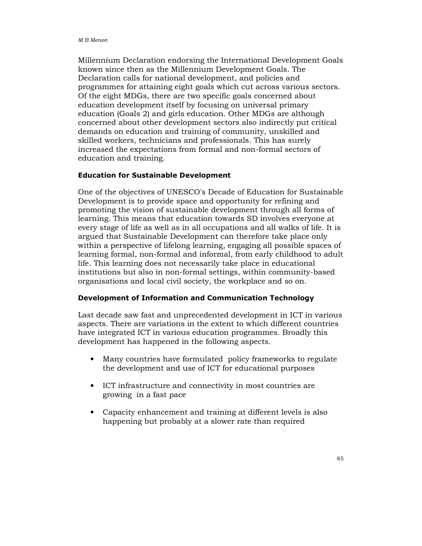Millennium Declaration endorsing the International Development Goals known since then as the Millennium Development Goals. The Declaration calls for national development, and policies and programmes for attaining eight goals which cut across various sectors. Of the eight MDGs, there are two specific goals concerned about education development itself by focusing on universal primary education (Goals 2) and girls education. Other MDGs are although concerned about other development sectors also indirectly put critical demands on education and training of community, unskilled and skilled workers, technicians and professionals. This has surely increased the expectations from formal and non-formal sectors of education and training.

#### Education for Sustainable Development

One of the objectives of UNESCO's Decade of Education for Sustainable Development is to provide space and opportunity for refining and promoting the vision of sustainable development through all forms of learning. This means that education towards SD involves everyone at every stage of life as well as in all occupations and all walks of life. It is argued that Sustainable Development can therefore take place only within a perspective of lifelong learning, engaging all possible spaces of learning formal, non-formal and informal, from early childhood to adult life. This learning does not necessarily take place in educational institutions but also in non-formal settings, within community-based organisations and local civil society, the workplace and so on.

#### Development of Information and Communication Technology

Last decade saw fast and unprecedented development in ICT in various aspects. There are variations in the extent to which different countries have integrated ICT in various education programmes. Broadly this development has happened in the following aspects.

- Many countries have formulated policy frameworks to regulate the development and use of ICT for educational purposes
- ICT infrastructure and connectivity in most countries are growing in a fast pace
- Capacity enhancement and training at different levels is also happening but probably at a slower rate than required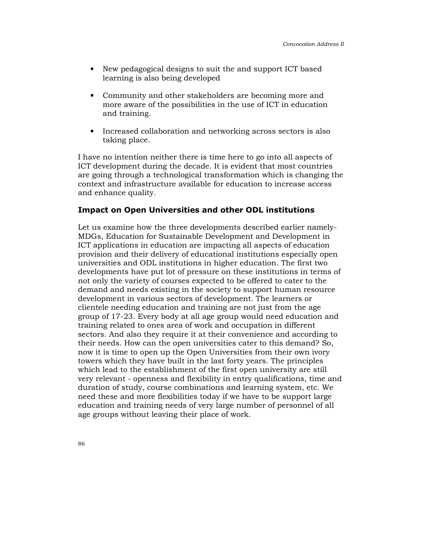- New pedagogical designs to suit the and support ICT based learning is also being developed
- Community and other stakeholders are becoming more and more aware of the possibilities in the use of ICT in education and training.
- Increased collaboration and networking across sectors is also taking place.

I have no intention neither there is time here to go into all aspects of ICT development during the decade. It is evident that most countries are going through a technological transformation which is changing the context and infrastructure available for education to increase access and enhance quality.

### Impact on Open Universities and other ODL institutions

Let us examine how the three developments described earlier namely-MDGs, Education for Sustainable Development and Development in ICT applications in education are impacting all aspects of education provision and their delivery of educational institutions especially open universities and ODL institutions in higher education. The first two developments have put lot of pressure on these institutions in terms of not only the variety of courses expected to be offered to cater to the demand and needs existing in the society to support human resource development in various sectors of development. The learners or clientele needing education and training are not just from the age group of 17-23. Every body at all age group would need education and training related to ones area of work and occupation in different sectors. And also they require it at their convenience and according to their needs. How can the open universities cater to this demand? So, now it is time to open up the Open Universities from their own ivory towers which they have built in the last forty years. The principles which lead to the establishment of the first open university are still very relevant - openness and flexibility in entry qualifications, time and duration of study, course combinations and learning system, etc. We need these and more flexibilities today if we have to be support large education and training needs of very large number of personnel of all age groups without leaving their place of work.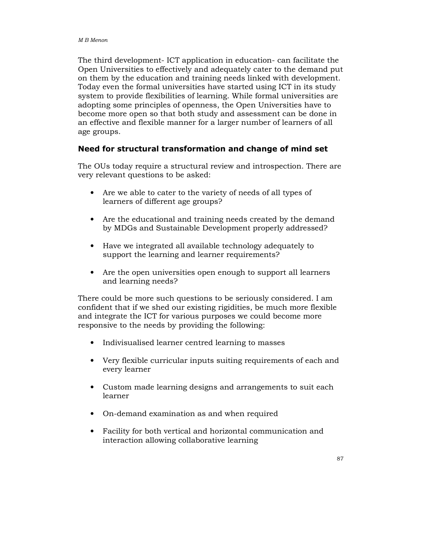The third development- ICT application in education- can facilitate the Open Universities to effectively and adequately cater to the demand put on them by the education and training needs linked with development. Today even the formal universities have started using ICT in its study system to provide flexibilities of learning. While formal universities are adopting some principles of openness, the Open Universities have to become more open so that both study and assessment can be done in an effective and flexible manner for a larger number of learners of all age groups.

## Need for structural transformation and change of mind set

The OUs today require a structural review and introspection. There are very relevant questions to be asked:

- Are we able to cater to the variety of needs of all types of learners of different age groups?
- Are the educational and training needs created by the demand by MDGs and Sustainable Development properly addressed?
- Have we integrated all available technology adequately to support the learning and learner requirements?
- Are the open universities open enough to support all learners and learning needs?

There could be more such questions to be seriously considered. I am confident that if we shed our existing rigidities, be much more flexible and integrate the ICT for various purposes we could become more responsive to the needs by providing the following:

- Indivisualised learner centred learning to masses
- Very flexible curricular inputs suiting requirements of each and every learner
- Custom made learning designs and arrangements to suit each learner
- On-demand examination as and when required
- Facility for both vertical and horizontal communication and interaction allowing collaborative learning